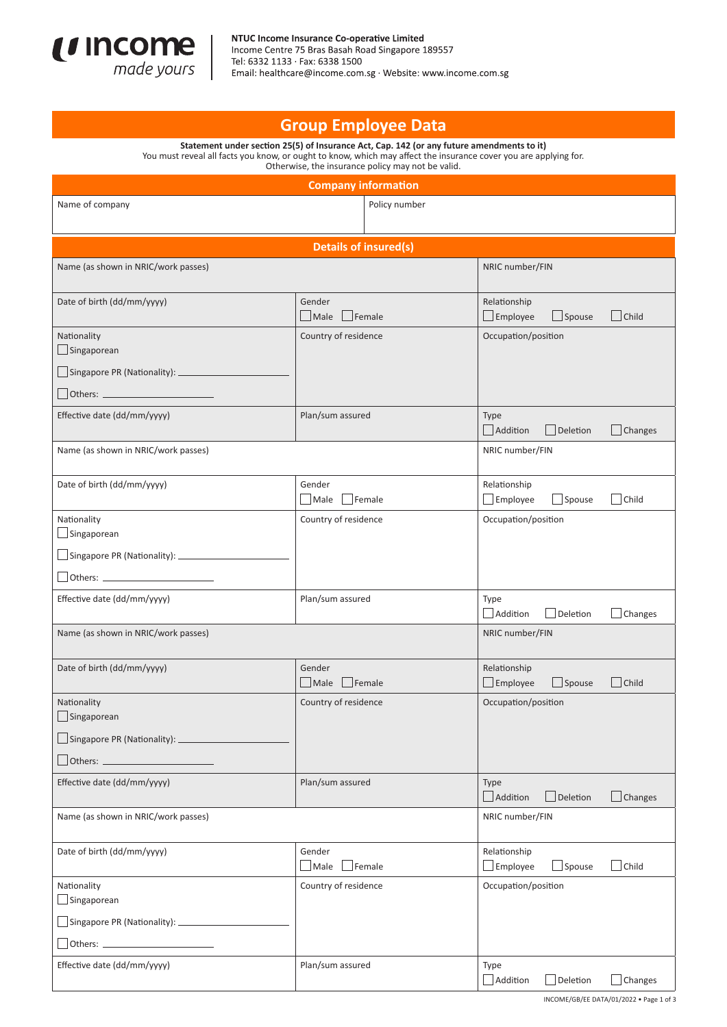

## **Group Employee Data**

**Statement under section 25(5) of Insurance Act, Cap. 142 (or any future amendments to it)**  You must reveal all facts you know, or ought to know, which may affect the insurance cover you are applying for. Otherwise, the insurance policy may not be valid.

| <b>Company information</b>                   |                                     |                                                                  |  |  |
|----------------------------------------------|-------------------------------------|------------------------------------------------------------------|--|--|
| Name of company                              | Policy number                       |                                                                  |  |  |
|                                              |                                     |                                                                  |  |  |
| <b>Details of insured(s)</b>                 |                                     |                                                                  |  |  |
| Name (as shown in NRIC/work passes)          |                                     | NRIC number/FIN                                                  |  |  |
| Date of birth (dd/mm/yyyy)                   | Gender<br>$\Box$ Male $\Box$ Female | Relationship<br>$\Box$ Child<br>$\Box$ Employee<br>$\Box$ Spouse |  |  |
| Nationality<br>Singaporean                   | Country of residence                | Occupation/position                                              |  |  |
| $\Box$ Singapore PR (Nationality): $\Box$    |                                     |                                                                  |  |  |
| Others:                                      |                                     |                                                                  |  |  |
| Effective date (dd/mm/yyyy)                  | Plan/sum assured                    | <b>Type</b><br>Addition<br>$\Box$ Deletion<br>$\Box$ Changes     |  |  |
| Name (as shown in NRIC/work passes)          |                                     | NRIC number/FIN                                                  |  |  |
| Date of birth (dd/mm/yyyy)                   | Gender<br>Male<br>Female            | Relationship<br>Child<br>Employee<br>$\Box$ Spouse               |  |  |
| Nationality<br>Singaporean                   | Country of residence                | Occupation/position                                              |  |  |
| Singapore PR (Nationality): ________________ |                                     |                                                                  |  |  |
|                                              |                                     |                                                                  |  |  |
| Effective date (dd/mm/yyyy)                  | Plan/sum assured                    | Type<br>Addition<br>Deletion<br>$\Box$ Changes                   |  |  |
| Name (as shown in NRIC/work passes)          |                                     | NRIC number/FIN                                                  |  |  |
| Date of birth (dd/mm/yyyy)                   | Gender<br>$\Box$ Male $\Box$ Female | Relationship<br>$\Box$ Employee<br>$\Box$ Spouse<br>Child        |  |  |
| Nationality<br>Singaporean                   | Country of residence                | Occupation/position                                              |  |  |
|                                              |                                     |                                                                  |  |  |
| $\Box$ Others: $\Box$                        |                                     |                                                                  |  |  |
| Effective date (dd/mm/yyyy)                  | Plan/sum assured                    | Type<br>Addition<br>Deletion<br>$\Box$ Changes                   |  |  |
| Name (as shown in NRIC/work passes)          |                                     | NRIC number/FIN                                                  |  |  |
| Date of birth (dd/mm/yyyy)                   | Gender<br>Male<br>Female            | Relationship<br>$\Box$ Child<br>$\Box$ Employee<br>Spouse        |  |  |
| Nationality<br>Singaporean                   | Country of residence                | Occupation/position                                              |  |  |
| Singapore PR (Nationality): ______________   |                                     |                                                                  |  |  |
| Others: _                                    |                                     |                                                                  |  |  |
| Effective date (dd/mm/yyyy)                  | Plan/sum assured                    | Type<br>Addition<br>Deletion<br>$\Box$ Changes                   |  |  |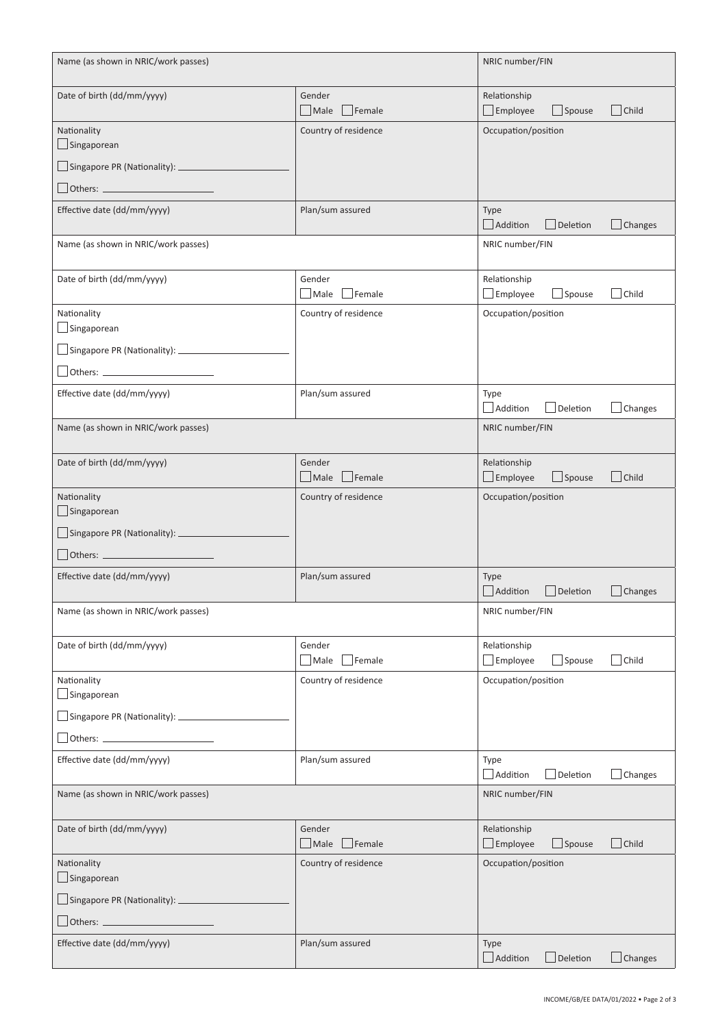| Name (as shown in NRIC/work passes)        |                                            | NRIC number/FIN                                                  |
|--------------------------------------------|--------------------------------------------|------------------------------------------------------------------|
| Date of birth (dd/mm/yyyy)                 | Gender<br>Male<br>Female                   | Relationship<br>$\Box$ Employee<br>Child<br>$\Box$ Spouse        |
| Nationality<br>Singaporean                 | Country of residence                       | Occupation/position                                              |
| $\Box$ Singapore PR (Nationality): $\Box$  |                                            |                                                                  |
| Others:                                    | Plan/sum assured                           |                                                                  |
| Effective date (dd/mm/yyyy)                |                                            | Type<br>Addition<br>$\Box$ Deletion<br>$\Box$ Changes            |
| Name (as shown in NRIC/work passes)        |                                            | NRIC number/FIN                                                  |
| Date of birth (dd/mm/yyyy)                 | Gender<br>Male<br>Female                   | Relationship<br>$\Box$ Employee<br>$\Box$ Spouse<br>Child        |
| Nationality<br>Singaporean                 | Country of residence                       | Occupation/position                                              |
| $\Box$ Singapore PR (Nationality): $\Box$  |                                            |                                                                  |
|                                            |                                            |                                                                  |
| Effective date (dd/mm/yyyy)                | Plan/sum assured                           | Type<br>Changes<br>Addition<br>Deletion                          |
| Name (as shown in NRIC/work passes)        |                                            | NRIC number/FIN                                                  |
| Date of birth (dd/mm/yyyy)                 | Gender<br>$F$ emale<br>$\blacksquare$ Male | Relationship<br>Child<br>$\Box$ Spouse                           |
| Nationality                                | Country of residence                       | $\Box$ Employee<br>Occupation/position                           |
| $\Box$ Singaporean                         |                                            |                                                                  |
|                                            |                                            |                                                                  |
| Others:                                    |                                            |                                                                  |
| Effective date (dd/mm/yyyy)                | Plan/sum assured                           | <b>Type</b><br>Addition<br>Deletion<br>Changes                   |
| Name (as shown in NRIC/work passes)        |                                            | NRIC number/FIN                                                  |
| Date of birth (dd/mm/yyyy)                 | Gender<br>$\Box$ Male<br>Female            | Relationship<br>$\Box$ Employee<br>$\Box$ Spouse<br>Child        |
| Nationality<br>Singaporean                 | Country of residence                       | Occupation/position                                              |
|                                            |                                            |                                                                  |
|                                            |                                            |                                                                  |
| Effective date (dd/mm/yyyy)                | Plan/sum assured                           | Type<br>Addition<br>Deletion<br>Changes                          |
| Name (as shown in NRIC/work passes)        |                                            | NRIC number/FIN                                                  |
| Date of birth (dd/mm/yyyy)                 | Gender<br>$\Box$ Male<br>$\vert$ Female    | Relationship<br>$\Box$ Child<br>$\Box$ Employee<br>$\Box$ Spouse |
| Nationality<br>Singaporean                 | Country of residence                       | Occupation/position                                              |
| Singapore PR (Nationality): ______________ |                                            |                                                                  |
|                                            |                                            |                                                                  |
| Effective date (dd/mm/yyyy)                | Plan/sum assured                           | Type<br>Addition<br>$\Box$ Deletion<br>$\Box$ Changes            |